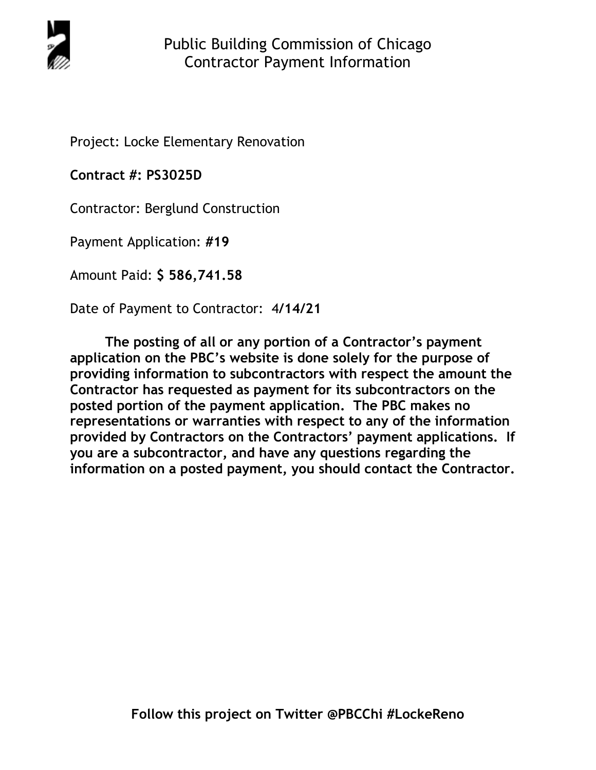

Project: Locke Elementary Renovation

**Contract #: PS3025D**

Contractor: Berglund Construction

Payment Application: **#19** 

Amount Paid: **\$ 586,741.58** 

Date of Payment to Contractor: 4**/14/21** 

**The posting of all or any portion of a Contractor's payment application on the PBC's website is done solely for the purpose of providing information to subcontractors with respect the amount the Contractor has requested as payment for its subcontractors on the posted portion of the payment application. The PBC makes no representations or warranties with respect to any of the information provided by Contractors on the Contractors' payment applications. If you are a subcontractor, and have any questions regarding the information on a posted payment, you should contact the Contractor.**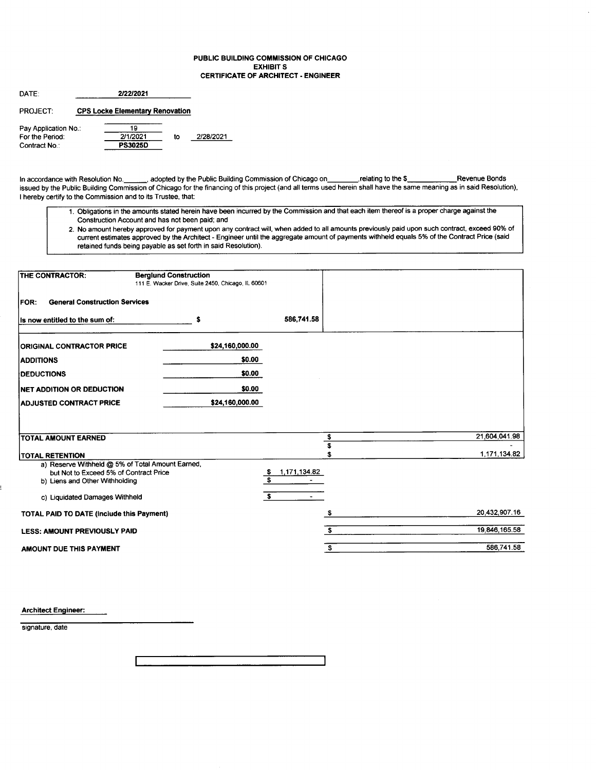#### PUBLIC BUILDING COMMISSION OF CHICAGO EXHIBIT S CERTIFICATE OF ARCHITECT. ENGINEER

| DATE:                                                    |                                        |                                  |    |           |
|----------------------------------------------------------|----------------------------------------|----------------------------------|----|-----------|
| <b>PROJECT:</b>                                          | <b>CPS Locke Elementary Renovation</b> |                                  |    |           |
| Pay Application No.:<br>For the Period:<br>Contract No.: |                                        | 19<br>2/1/2021<br><b>PS3025D</b> | to | 2/28/2021 |

In accordance with Resolution No. \_\_\_\_\_\_, adopted by the Public Building Commission of Chicago on\_\_\_\_\_\_\_\_,relating to the \$\_\_\_\_\_\_\_\_\_\_\_\_\_\_\_\_\_\_\_\_Revenue Bonds issued by the Public Building Commission of Chicago for the financing of this project (and all terms used herein shall have the same meaning as in said Resolution), I hereby certify to the Commission and to its Trustee, that:

- 1. Obligations in the amounts stated herein have been incuned by the Commission and that each item thereof is a proper charge against the Construction Account and has not been paid; and
- 2. No amount hereby approved for payment upon any contract will, when added to all amounts previously paid upon such contract, exceed 90% of current estimates approved by the Architect - Engineer until the aggregate amount of payments withheld equals 5% of the Contract Price (said retained funds being payable as set forth in said Resolution).

| <b>THE CONTRACTOR:</b>                                                   | <b>Berglund Construction</b><br>111 E. Wacker Drive, Suite 2450, Chicago, IL 60601 |                                     |               |
|--------------------------------------------------------------------------|------------------------------------------------------------------------------------|-------------------------------------|---------------|
| <b>General Construction Services</b><br><b>FOR:</b>                      |                                                                                    |                                     |               |
| Is now entitled to the sum of:                                           | \$                                                                                 | 586,741.58                          |               |
| <b>ORIGINAL CONTRACTOR PRICE</b>                                         | \$24,160,000.00                                                                    |                                     |               |
| <b>ADDITIONS</b>                                                         | \$0.00                                                                             |                                     |               |
| <b>DEDUCTIONS</b>                                                        | \$0.00                                                                             |                                     |               |
| <b>NET ADDITION OR DEDUCTION</b>                                         | \$0.00                                                                             |                                     |               |
| <b>ADJUSTED CONTRACT PRICE</b>                                           | \$24,160,000.00                                                                    |                                     |               |
|                                                                          |                                                                                    |                                     |               |
|                                                                          |                                                                                    |                                     | 21,604,041.98 |
| <b>TOTAL AMOUNT EARNED</b>                                               |                                                                                    | \$<br>$\overline{\mathbf{s}}$       |               |
| <b>TOTAL RETENTION</b>                                                   |                                                                                    | S                                   | 1,171,134.82  |
| a) Reserve Withheld @ 5% of Total Amount Earned,                         |                                                                                    | 1,171,134.82                        |               |
| but Not to Exceed 5% of Contract Price<br>b) Liens and Other Withholding |                                                                                    | <u>s</u><br>$\overline{\mathbf{s}}$ |               |
| c) Liquidated Damages Withheld                                           |                                                                                    | $\mathbf{s}$                        |               |
| TOTAL PAID TO DATE (include this Payment)                                |                                                                                    | S                                   | 20 432,907.16 |
| <b>LESS: AMOUNT PREVIOUSLY PAID</b>                                      |                                                                                    | S.                                  | 19,846,165.58 |
| AMOUNT DUE THIS PAYMENT                                                  |                                                                                    | s                                   | 586,741.58    |

Architect Engineer:

signature, date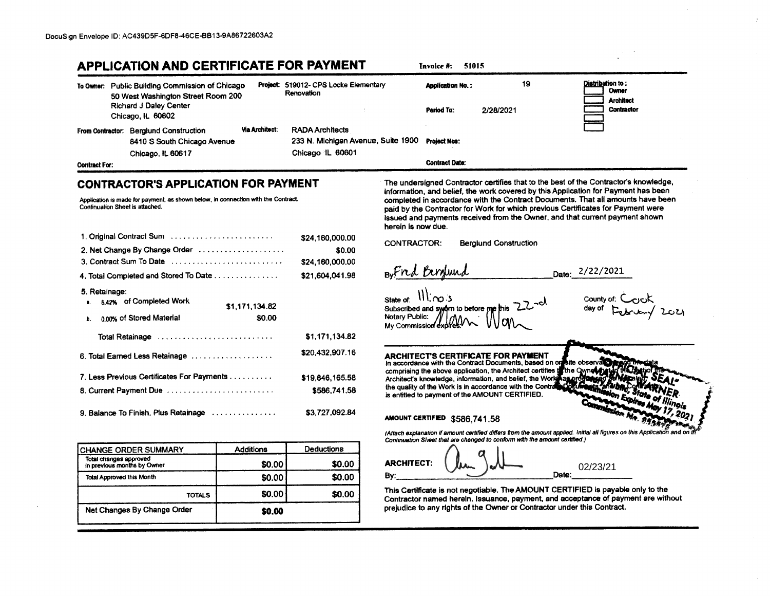# **APPLICATION AND CERTIFICATE FOR PAYMENT**

19 Distribution to: Project: 519012- CPS Locke Elementary To Owner: Public Building Commission of Chicago **Application No.:** Owner Renovation 50 West Washington Street Room 200 **Architect Richard J Daley Center** Contractor **Period To:** 2/28/2021 Chicago, IL 60602 **Via Architect:** From Contractor: Berglund Construction **RADA Architects** 8410 S South Chicago Avenue 233 N. Michigan Avenue, Suite 1900 **Project Nos:** Chicago IL 60601 Chicago, IL 60617 **Contract Date: Contract For:** 

### **CONTRACTOR'S APPLICATION FOR PAYMENT**

Application is made for payment, as shown below, in connection with the Contract. Continuation Sheet is attached.

| 1. Original Contract Sum                                         | \$24,160,000.00 |
|------------------------------------------------------------------|-----------------|
| 2. Net Change By Change Order                                    | \$0.00          |
| 3. Contract Sum To Date                                          | \$24,160,000.00 |
| 4. Total Completed and Stored To Date                            | \$21,604,041.98 |
| 5. Retainage:<br>5.42% of Completed Work<br>a.<br>\$1,171,134.82 |                 |
| 0.00% of Stored Material<br>b.                                   | \$0.00          |
| Total Retainage                                                  | \$1,171,134.82  |
| 6. Total Earned Less Retainage                                   | \$20,432,907.16 |
| 7. Less Previous Certificates For Payments                       | \$19,846,165.58 |
| 8. Current Payment Due                                           | \$586,741.58    |
| 9. Balance To Finish, Plus Retainage                             | \$3,727,092.84  |

| <b>CHANGE ORDER SUMMARY</b>                           | <b>Additions</b> | Deductions |  |  |  |
|-------------------------------------------------------|------------------|------------|--|--|--|
| Total changes approved<br>in previous months by Owner | \$0.00           | \$0.00     |  |  |  |
| Total Approved this Month                             | \$0.00           | \$0.00     |  |  |  |
| <b>TOTALS</b>                                         | \$0.00           | \$0.00     |  |  |  |
| Net Changes By Change Order                           | \$0.00           |            |  |  |  |

The undersigned Contractor certifies that to the best of the Contractor's knowledge, information, and belief, the work covered by this Application for Payment has been completed in accordance with the Contract Documents. That all amounts have been paid by the Contractor for Work for which previous Certificates for Payment were issued and payments received from the Owner, and that current payment shown herein is now due.

**CONTRACTOR: Berglund Construction** 

**Invoice #: 51015** 

BuFord Birdund

Date: 2/22/2021

State of:  $\frac{1}{\log 5}$ Subscribed and sworn to before me Notary Public: My Commission exp

county of: Cook

**ARCHITECT'S CERTIFICATE FOR PAYMENT** In accordance with the Contract Documents, based on on kite observato comprising the above application, the Architect certifies to the Ownel th Architect's knowledge, information, and belief, the World hasin the quality of the Work is in accordance with the Contra is entitled to payment of the AMOUNT CERTIFIED.

AMOUNT CERTIFIED \$586,741.58

(Attach explanation if amount certified differs from the amount applied. Initial all figures on this Application and on Continuation Sheet that are changed to conform with the amount certified.)

**ARCHITECT:** 02/23/21 By: Date:

This Certificate is not negotiable. The AMOUNT CERTIFIED is payable only to the Contractor named herein. Issuance, payment, and acceptance of payment are without prejudice to any rights of the Owner or Contractor under this Contract.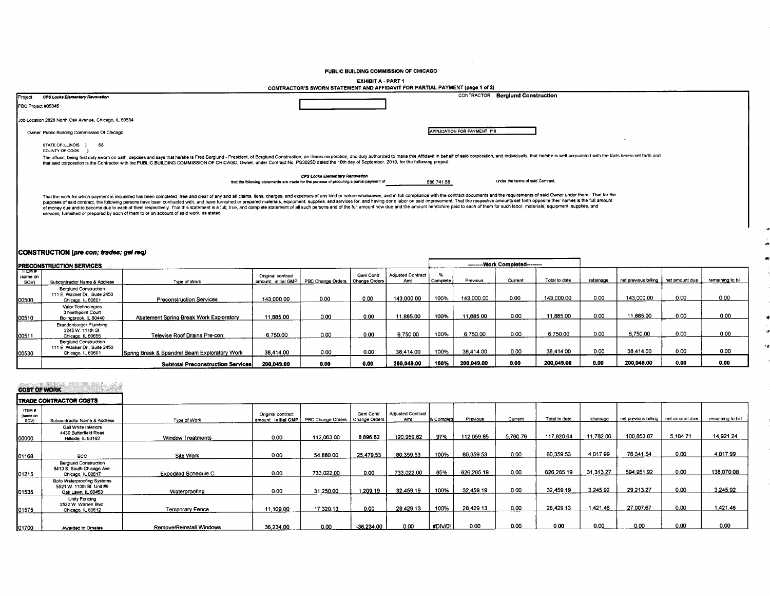PUBLIC BUILDING COMMISSION OF CHICAGO

EXHIBIT A - PART 1

|         |                                                                                           | CONTRACTOR'S SWORN STATEMENT AND AFFIDAVIT FOR PARTIAL PAYMENT (page 1 of 2)                                                                                                                                                                                                                                                                                                                                                                                                                                                                                                                                                                                                                       |                             |                                   |  |
|---------|-------------------------------------------------------------------------------------------|----------------------------------------------------------------------------------------------------------------------------------------------------------------------------------------------------------------------------------------------------------------------------------------------------------------------------------------------------------------------------------------------------------------------------------------------------------------------------------------------------------------------------------------------------------------------------------------------------------------------------------------------------------------------------------------------------|-----------------------------|-----------------------------------|--|
| Project | CPS Locke Elementary Revovation<br>PBC Project #05345                                     |                                                                                                                                                                                                                                                                                                                                                                                                                                                                                                                                                                                                                                                                                                    |                             | CONTRACTOR Berglund Construction  |  |
|         | Job Location 2828 North Oak Avenue, Chicago, IL 60634                                     |                                                                                                                                                                                                                                                                                                                                                                                                                                                                                                                                                                                                                                                                                                    |                             |                                   |  |
|         | Owner Public Building Commission Of Chicago                                               |                                                                                                                                                                                                                                                                                                                                                                                                                                                                                                                                                                                                                                                                                                    | APPLICATION FOR PAYMENT #19 |                                   |  |
|         | STATE OF ILLINOIS } SS<br>COUNTY OF COOK                                                  |                                                                                                                                                                                                                                                                                                                                                                                                                                                                                                                                                                                                                                                                                                    |                             |                                   |  |
|         |                                                                                           | The affiant, being first duly sworn on oath, deposes and says that he/she is Fred Berglund - President, of Berglund Construction, an Illinois corporation, and duly authorized to make this Affidavit in behalf of said corpor<br>that said corporation is the Contractor with the PUBLIC BUILDING COMMISSION OF CHICAGO, Owner, under Contract No. PS3025D dated the 10th day of September, 2019, for the following project:                                                                                                                                                                                                                                                                      |                             |                                   |  |
|         |                                                                                           | CPS Locke Elementary Renovation<br>that the following statements are made for the purpose of procuring a partial payment of                                                                                                                                                                                                                                                                                                                                                                                                                                                                                                                                                                        | 586.741.58                  | under the terms of said Contract: |  |
|         | services, furnished or prepared by each of them to or on account of said work, as stated: | That the work for which payment is requested has been completed, free and clear of any and all claims, liens, charges, and expenses of any kind or nature whatsoever, and in full compliance with the contract documents and t<br>purposes of said contract, the following persons have been contracted with, and have furnished or prepared materials, equipment, supplies, and services for, and having done labor on said improvement. That the respective am<br>of money due and to become due to each of them respectively. That this statement is a full, true, and complete statement of all such persons and of the full amount now due and the amount heretofore paid to each of them for |                             |                                   |  |
|         |                                                                                           |                                                                                                                                                                                                                                                                                                                                                                                                                                                                                                                                                                                                                                                                                                    |                             |                                   |  |

## CONSTRUCTION (pre con; trades; gel req)

|                          | <b>PRECONSTRUCTION SERVICES</b>                                                    |                                               |                                          |                                   |            |                          |            | --------- Work Completed-------- |         |               |           |                                       |      |                   |
|--------------------------|------------------------------------------------------------------------------------|-----------------------------------------------|------------------------------------------|-----------------------------------|------------|--------------------------|------------|----------------------------------|---------|---------------|-----------|---------------------------------------|------|-------------------|
| TEMF<br>(same on<br>SOV) | Subcontractor Name & Address                                                       | Type of Work                                  | Original contract<br>amount: initial GMP | PBC Change Orders   Change Orders | Genl Contr | Adjusted Contract<br>Amt | l Complete | Previous                         | Current | Total to date | retainage | net previous billing   net amount due |      | remaining to bill |
| 00500                    | <b>Berglund Construction</b><br>111 E. Wacker Dr., Suite 2450<br>Chicago, IL 60601 | <b>Preconstruction Services</b>               | 143,000.00                               | 0.00                              | 0.00       | 143.000.00               | 100%       | 143,000.00                       | 0.00    | 143,000.00    | 0.00      | 143,000.00                            | 0.00 | 0.00              |
| 00510                    | Valor Technologies<br>3 Northpoint Court<br>Bolingbrook, IL 60440                  | Abatement Spring Break Work Exploratory       | 11,885.00                                | 0.00                              | 0.00       | 1,885.00                 | 100%       | 11,885.00                        | 0.00    | 11.885.00     | 0.00      | 11.885.00                             | 0.00 | 0.00              |
| 00511                    | Brandenburger Plumbing<br>3245 W. 111th St.<br>Chicago, IL 60655                   | Televise Roof Drains Pre-con                  | 6.750.00                                 | 0.00                              | 0.00       | 6,750.00                 | 100%       | 6,750.00                         | 0.00    | 6,750.00      | 0.00      | 6,750.00                              | 0.00 | 0.00              |
| 00530                    | <b>Berglund Construction</b><br>111 E. Wacker Dr., Suite 2450<br>Chicago, IL 60601 | Spring Break & Spandrel Beam Exploratory Work | 38,414.00                                | 0.00                              | 0.00       | 38.414.00                | 100%       | 38.414.00                        | 0.00    | 38,414.00     | 0.00      | 38.414.00                             | 0.00 | 0.00              |
|                          |                                                                                    | <b>Subtotal Preconstruction Services</b>      | 200,049.00                               | 0.00                              | 0.00       | 200,049.00               | 100%       | 200.049.00                       | 0.00    | 200,049.00    | 0.00      | 200.049.00                            | 0.00 | 0.00              |

У. ٠ż

| <b>COST OF WORK</b>               |                                                                                 |                             |                                          |                                   |              |                          |            |             |          |               |           |                                       |          |                   |
|-----------------------------------|---------------------------------------------------------------------------------|-----------------------------|------------------------------------------|-----------------------------------|--------------|--------------------------|------------|-------------|----------|---------------|-----------|---------------------------------------|----------|-------------------|
|                                   | <b>ITRADE CONTRACTOR COSTS</b>                                                  |                             |                                          |                                   |              |                          |            |             |          |               |           |                                       |          |                   |
| <b>ITEM #</b><br>(same on<br>SOV) | Subcontractor Name & Address                                                    | Type of Work                | Original contract<br>amount: initial GMP | PBC Change Orders   Change Orders | Geni Contr   | Adjusted Contract<br>Amt | % Complete | Previous    | Current  | Total to date | retainage | net previous billing   net amount due |          | remaining to bill |
| 00000                             | Gail White Interiors<br>4430 Butterfield Road<br>Hillside, IL 60162             | <b>Window Treatments</b>    | 0.00                                     | 112.063.00                        | 8.896.82     | 120,959.82               | 97%        | 112.059.85  | 5,760.79 | 117,820.64    | 11,782.06 | 100,853.87                            | 5.184.71 | 14,921.24         |
| 01168                             | <b>BCC</b>                                                                      | Site Work                   | 0.00                                     | 54.880.00                         | 25.479.53    | 80,359.53                | 100%       | 80,359.53   | 0.00     | 80 359 53     | 4,017.99  | 76.341.54                             | 0.00     | 4,017.99          |
| 01215                             | <b>Berglund Construction</b><br>8410 S. South Chicago Ave.<br>Chicago, IL 60617 | <b>Expedited Schedule C</b> | 0.00                                     | 733.022.00                        | 0.00         | 733,022.00               | 85%        | 626, 265.19 | 0.00     | 626, 265, 19  | 31.313.27 | 594,951.92                            | 0.00     | 138,070.08        |
| 01535                             | Bofo Waterproofing Systems<br>5521 W. 110th St. Unit #9<br>Oak Lawn, IL 60453   | Waterproofing               | 0.00                                     | 31,250.00                         | 1,209.19     | 32,459.19                | 100%       | 32.459.19   | 0.00     | 32.459.19     | 3.245.92  | 29.213.27                             | 0.00     | 3,245.92          |
| 01575                             | Unity Fencing<br>2532 W. Warren Blvd.<br>Chicago, IL 60612                      | Temporary Fence             | 11.109.00                                | 17.320.13                         | 0.00         | 28,429.13                | 100%       | 28.429.13   | 0.00     | 28.429.13     | 1.421.46  | 27,007.67                             | 0.00     | 1.421.46          |
| 01700                             | Awarded to Ornelas                                                              | Remove/Reinstall Windows    | 36,234.00                                | 0.00                              | $-36,234.00$ | 0.00                     | #DIV/0!    | 0.00        | 0.00     | 0.00          | 0.00      | 0.00                                  | 0.00     | 0.00              |

 $\sim 10^{-1}$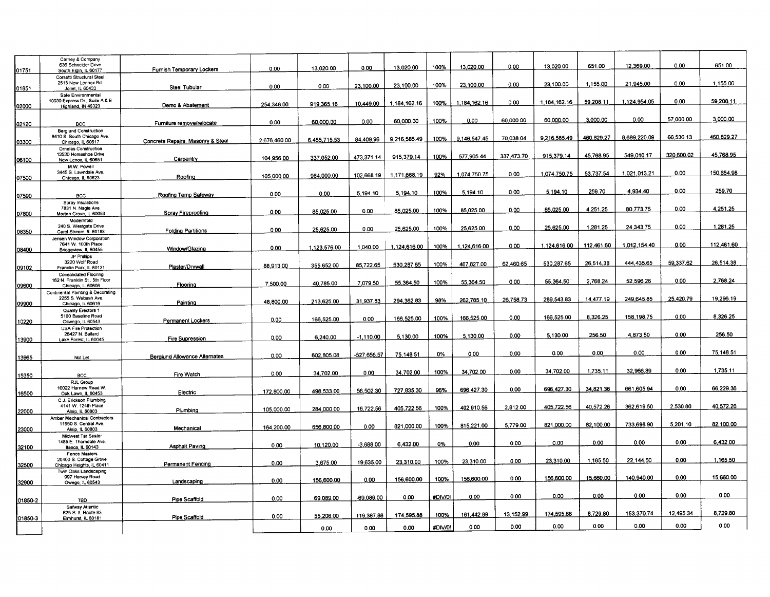| 01751   | Carney & Company<br>636 Schneider Drive<br>South Elgin, IL 60177                | Furnish Temporary Lockers         | 0.00         | 13.020.00    | 0.00        | 13,020.00    | 100%    | 13,020.00    | 0.00       | 13.020.00    | 651.00     | 12.369.00    | 0.00       | 651.00     |
|---------|---------------------------------------------------------------------------------|-----------------------------------|--------------|--------------|-------------|--------------|---------|--------------|------------|--------------|------------|--------------|------------|------------|
|         | Corsetti Structural Steel<br>2515 New Lennox Rd.                                |                                   |              |              |             |              |         |              | 0.00       | 23,100.00    | 1,155.00   | 21.945.00    | 0.00       | 1.155.00   |
| 01851   | Joliet, IL 60433                                                                | Steel Tubular                     | 0.00         | 0.00         | 23,100.00   | 23,100.00    | 100%    | 23,100.00    |            |              |            |              |            |            |
| 02000   | Safe Environmental<br>10030 Express Dr., Suite A & B<br>Highland, IN 46323      | Demo & Abatement                  | 254,348.00   | 919,365.16   | 10.449.00   | 1,184,162.16 | 100%    | 1,184,162.16 | 0.00       | 1,184,162.16 | 59.208.11  | 1.124.954.05 | 0.00       | 59,208.11  |
|         |                                                                                 |                                   |              |              |             |              |         |              |            |              |            |              |            |            |
| 02120   | BCC                                                                             | Furniture remove/relocate         | 0.00         | 60,000.00    | 0.00        | 60,000.00    | 100%    | 0.00         | 60,000.00  | 60,000.00    | 3,000.00   | 0.00         | 57,000.00  | 3,000.00   |
| 03300   | <b>Berglund Construction</b><br>8410 S. South Chicago Ave.<br>Chicago, IL 60617 | Concrete Repairs, Masonry & Steel | 2.676.460.00 | 6.455,715.53 | 84,409.96   | 9.216.585.49 | 100%    | 9.146.547.45 | 70,038.04  | 9.216.585.49 | 460.829.27 | 8,689,220.09 | 66.536.13  | 460.829.27 |
|         | <b>Ornelas Construction</b>                                                     |                                   |              |              |             |              |         |              |            |              |            |              |            |            |
|         | 12520 Horseshoe Drive                                                           |                                   | 104.956.00   | 337.052.00   | 473.371.14  | 915,379.14   | 100%    | 577,905.44   | 337.473.70 | 915,379.14   | 45,768.95  | 549,010.17   | 320,600.02 | 45,768.95  |
| 06100   | New Lenox, IL 60651<br>M.W. Powell                                              | Carpentry                         |              |              |             |              |         |              |            |              |            |              |            |            |
|         | 3445 S. Lawndale Ave.                                                           |                                   |              |              |             |              |         | 1,074,750.75 | 0.00       | 1.074.750.75 | 53.737.54  | 1,021,013.21 | 0.00       | 150,654.98 |
| 07500   | Chicago, IL 60623                                                               | Roofing                           | 105,000.00   | 964,000.00   | 102.668.19  | 1.171.668.19 | 92%     |              |            |              |            |              |            |            |
|         |                                                                                 | Roofing Temp Safeway              | 0.00         | 0.00         | 5.194.10    | 5.194.10     | 100%    | 5,194.10     | 0.00       | 5.194.10     | 259.70     | 4,934.40     | 0.00       | 259.70     |
| 07590   | BCC<br>Spray Insulations                                                        |                                   |              |              |             |              |         |              |            |              |            |              |            |            |
| 07800   | 7831 N. Nagle Ave.<br>Morton Grove, IL 60053                                    | Spray Fireproofing                | 0.00         | 85,025.00    | 0.00        | 85.025.00    | 100%    | 85,025.00    | 0.00       | 85.025.00    | 4.251.25   | 80,773.75    | 0.00       | 4,251.25   |
|         | Modernfold<br>240 S. Westgate Drive                                             |                                   |              |              |             |              |         |              |            |              |            |              |            |            |
| 08350   | Carol Stream, IL 60188                                                          | <b>Folding Partitions</b>         | 0.00         | 25,625.00    | 0.00        | 25.625.00    | 100%    | 25.625.00    | 0.00       | 25.625.00    | 1,281.25   | 24.343.75    | 0.00       | 1.281.25   |
|         | Jensen Window Corporation                                                       |                                   |              |              |             |              |         |              |            |              |            |              |            |            |
|         | 7641 W. 100th Place                                                             |                                   | 0.00         | 1,123,576.00 | 1,040.00    | 1,124,616.00 | 100%    | 1.124.616.00 | 0.00       | 1.124.616.00 | 112.461.60 | 1.012.154.40 | 0.00       | 112,461.60 |
| 08400   | Bridgeview, IL 60455                                                            | Window/Glazing                    |              |              |             |              |         |              |            |              |            |              |            |            |
|         | JP Phillips<br>3220 Wolf Road                                                   |                                   |              |              |             |              |         |              |            | 530,287.65   | 26,514.38  | 444.435.65   | 59,337.62  | 26,514.38  |
| 09102   | Franklin Park, IL 60131                                                         | Plaster/Drywall                   | 88,913.00    | 355,652.00   | 85.722.65   | 530.287.65   | 100%    | 467.827.00   | 62,460.65  |              |            |              |            |            |
|         | <b>Consolidated Flooring</b>                                                    |                                   |              |              |             |              |         |              |            |              |            |              |            |            |
| 09600   | 162 N. Franklin St., 5th Floor<br>Chicago, IL 60606                             | Flooring                          | 7,500.00     | 40,785.00    | 7,079.50    | 55.364.50    | 100%    | 55,364.50    | 0.00       | 55.364.50    | 2.768.24   | 52.596.26    | 0.00       | 2,768.24   |
|         | Continental Painting & Decorating                                               |                                   |              |              |             |              |         |              |            |              |            |              |            |            |
|         | 2255 S. Wabash Ave.                                                             |                                   |              |              | 31,937.83   | 294.362.83   | 98%     | 262 785 10   | 26,758.73  | 289.543.83   | 14,477.19  | 249.645.85   | 25.420.79  | 19,296.19  |
| 09900   | Chicago, IL 60616                                                               | Painting                          | 48,800.00    | 213,625.00   |             |              |         |              |            |              |            |              |            |            |
|         | Quality Erectors 1<br>5100 Baseline Road                                        |                                   |              |              |             |              |         |              |            |              |            |              |            |            |
| 10220   | Oswego, IL 60543                                                                | Permanent Lockers                 | 0.00         | 166,525.00   | 0.00        | 166,525.00   | 100%    | 166,525.00   | 0.00       | 166.525.00   | 8.326.25   | 158.198.75   | 0.00       | 8.326.25   |
|         | <b>USA Fire Protection</b>                                                      |                                   |              |              |             |              |         |              |            |              |            |              |            |            |
|         | 28427 N. Ballard                                                                | <b>Fire Supression</b>            | 0.00         | 6.240.00     | $-1.110.00$ | 5,130.00     | 100%    | 5,130.00     | 0.00       | 5,130.00     | 256.50     | 4.873.50     | 0.00       | 256.50     |
| 13900   | Lake Forest, IL 60045                                                           |                                   |              |              |             |              |         |              |            |              |            |              |            |            |
|         |                                                                                 |                                   |              |              |             | 75.148.51    | 0%      | 0.00         | 0.00       | 0.00         | 0.00       | 0.00         | 0.00       | 75.148.51  |
| 13965   | Not Let                                                                         | Bergiund Allowance Alternates     | 0.00         | 602.805.08   | -527,656.57 |              |         |              |            |              |            |              |            |            |
|         |                                                                                 |                                   |              |              |             |              |         |              |            |              |            |              |            |            |
| 15350   | <b>BCC</b>                                                                      | Fire Watch                        | 0.00         | 34,702.00    | 0.00        | 34.702.00    | 100%    | 34,702.00    | 0.00       | 34,702.00    | 1,735.11   | 32,966.89    | 0.00       | 1,735.11   |
|         | RJL Group                                                                       |                                   |              |              |             |              |         |              |            |              |            |              |            |            |
|         | 10022 Harnew Road W                                                             | Electric                          | 172,800.00   | 498.533.00   | 56,502.30   | 727.835.30   | 96%     | 696.427.30   | 0.00       | 696,427.30   | 34,821.36  | 661,605.94   | 0.00       | 66.229.36  |
| 16500   | Oak Lawn, IL 60453<br>C.J. Erickson Plumbing                                    |                                   |              |              |             |              |         |              |            |              |            |              |            |            |
|         | 4141 W. 124th Place                                                             |                                   |              |              | 16,722.56   | 405.722.56   | 100%    | 402.910.56   | 2,812.00   | 405,722.56   | 40,572.26  | 362,619.50   | 2,530.80   | 40,572.26  |
| 22000   | Alsip, IL 60803                                                                 | Plumbing                          | 105.000.00   | 284,000.00   |             |              |         |              |            |              |            |              |            |            |
|         | Amber Mechanical Contractors<br>11950 S. Central Ave.                           |                                   |              |              |             |              |         |              |            |              |            |              |            |            |
| 23000   | Alsip, IL 60803                                                                 | Mechanical                        | 164.200.00   | 656,800.00   | 0.00        | 821,000.00   | 100%    | 815,221.00   | 5.779.00   | 821,000.00   | 82,100.00  | 733,698.90   | 5.201.10   | 82.100.00  |
|         | Midwest Tar Sealer                                                              |                                   |              |              |             |              |         |              |            |              |            |              |            |            |
|         | 1485 E. Thorndale Ave                                                           | Asphalt Paving                    | 0.00         | 10,120.00    | $-3.688.00$ | 6.432.00     | 0%      | 0.00         | 0.00       | 0.00         | 0.00       | 0.00         | 0.00       | 6,432.00   |
| 32100   | Itasca, IL 60143                                                                |                                   |              |              |             |              |         |              |            |              |            |              |            |            |
|         | Fence Masters<br>20400 S. Cottage Grove                                         |                                   |              |              |             |              |         | 23,310.00    | 0.00       | 23,310.00    | 1,165.50   | 22,144.50    | 0.00       | 1.165.50   |
| 32500   | Chicago Heights, IL 60411                                                       | Permanent Fencing                 | 0.00         | 3.675.00     | 19,635.00   | 23,310.00    | 100%    |              |            |              |            |              |            |            |
|         | Twin Oaks Landscaping                                                           |                                   |              |              |             |              |         |              |            |              |            |              |            |            |
| 32900   | 997 Harvey Road<br>Owego, IL 60543                                              | Landscaping                       | 0.00         | 156,600.00   | 0.00        | 156,600.00   | 100%    | 156,600.00   | 0.00       | 156,600.00   | 15,660.00  | 140,940.00   | 0.00       | 15,660.00  |
|         |                                                                                 |                                   |              |              |             |              |         |              |            |              |            |              |            |            |
|         |                                                                                 |                                   | 0.00         | 69,089.00    | -69,089.00  | 0.00         | #DIV/0  | 0.00         | 0.00       | 0.00         | 0.00       | 0.00         | 0.00       | 0.00       |
| 01850-2 | TBD                                                                             | Pipe Scaffold                     |              |              |             |              |         |              |            |              |            |              |            |            |
|         | Safway Atlantic<br>625 S. IL Route 83                                           |                                   |              |              |             |              |         |              | 13.152.99  | 174,595.88   | 8,729.80   | 153,370.74   | 12,495.34  | 8,729.80   |
| 01850-3 | Elmhurst, IL 60181                                                              | Pipe Scaffold                     | 0.00         | 55,208.00    | 119,387.88  | 174,595.88   | 100%    | 161.442.89   |            |              |            |              |            |            |
|         |                                                                                 |                                   |              | 0.00         | 0.00        | 0.00         | #DIV/0! | 0.00         | 0.00       | 0.00         | 0.00       | 0.00         | 0.00       | 0.00       |
|         |                                                                                 |                                   |              |              |             |              |         |              |            |              |            |              |            |            |
|         |                                                                                 |                                   |              |              |             |              |         |              |            |              |            |              |            |            |